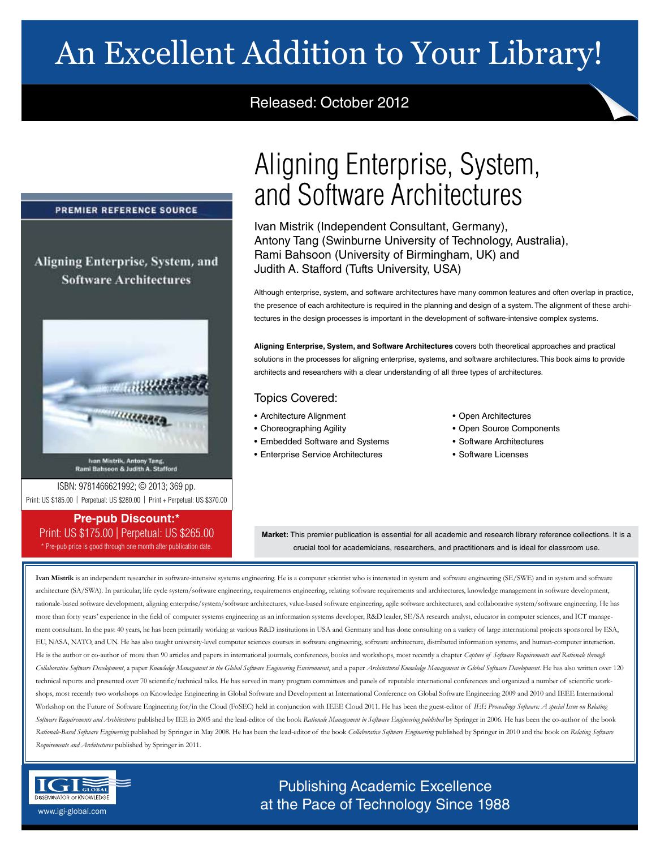# An Excellent Addition to Your Library!

## Released: October 2012



Aligning Enterprise, System, and **Software Architectures** 



Ivan Mistrik, Antony Tang,<br>Rami Bahsoon & Judith A. Stafford

ISBN: 9781466621992; © 2013; 369 pp. Print: US \$185.00 | Perpetual: US \$280.00 | Print + Perpetual: US \$370.00

### **Pre-pub Discount:\*** Print: US \$175.00 | Perpetual: US \$265.00 \* Pre-pub price is good through one month after publication date.

## Aligning Enterprise, System, and Software Architectures

Ivan Mistrik (Independent Consultant, Germany), Antony Tang (Swinburne University of Technology, Australia), Rami Bahsoon (University of Birmingham, UK) and Judith A. Stafford (Tufts University, USA)

Although enterprise, system, and software architectures have many common features and often overlap in practice, the presence of each architecture is required in the planning and design of a system. The alignment of these architectures in the design processes is important in the development of software-intensive complex systems.

**Aligning Enterprise, System, and Software Architectures** covers both theoretical approaches and practical solutions in the processes for aligning enterprise, systems, and software architectures. This book aims to provide architects and researchers with a clear understanding of all three types of architectures.

## Topics Covered:

- Architecture Alignment
- Choreographing Agility
- Embedded Software and Systems
- Enterprise Service Architectures
- Open Architectures
- Open Source Components
- Software Architectures
- Software Licenses

**Market:** This premier publication is essential for all academic and research library reference collections. It is a crucial tool for academicians, researchers, and practitioners and is ideal for classroom use.

**Ivan Mistrík** is an independent researcher in software-intensive systems engineering. He is a computer scientist who is interested in system and software engineering (SE/SWE) and in system and software architecture (SA/SWA). In particular; life cycle system/software engineering, requirements engineering, relating software requirements and architectures, knowledge management in software development, rationale-based software development, aligning enterprise/system/software architectures, value-based software engineering, agile software architectures, and collaborative system/software engineering. He has more than forty years' experience in the field of computer systems engineering as an information systems developer, R&D leader, SE/SA research analyst, educator in computer sciences, and ICT management consultant. In the past 40 years, he has been primarily working at various R&D institutions in USA and Germany and has done consulting on a variety of large international projects sponsored by ESA, EU, NASA, NATO, and UN. He has also taught university-level computer sciences courses in software engineering, software architecture, distributed information systems, and human-computer interaction. He is the author or co-author of more than 90 articles and papers in international journals, conferences, books and workshops, most recently a chapter *Capture of Software Requirements and Rationale through* Collaborative Software Development, a paper Knowledge Management in the Global Software Engineering Environment, and a paper Architectural Knowledge Management in Global Software Development. He has also written over 120 technical reports and presented over 70 scientific/technical talks. He has served in many program committees and panels of reputable international conferences and organized a number of scientific workshops, most recently two workshops on Knowledge Engineering in Global Software and Development at International Conference on Global Software Engineering 2009 and 2010 and IEEE International Workshop on the Future of Software Engineering for/in the Cloud (FoSEC) held in conjunction with IEEE Cloud 2011. He has been the guest-editor of *IEE Proceedings Software: A special Issue on Relating Software Requirements and Architectures* published by IEE in 2005 and the lead-editor of the book *Rationale Management in Software Engineering published* by Springer in 2006. He has been the co-author of the book Rationale-Based Software Engineering published by Springer in May 2008. He has been the lead-editor of the book Collaborative Software Engineering published by Springer in 2010 and the book on Relating Software *Requirements and Architectures* published by Springer in 2011.



Publishing Academic Excellence **ORSEMINATOR OF KNOWLEDGE at the Pace of Technology Since 1988**